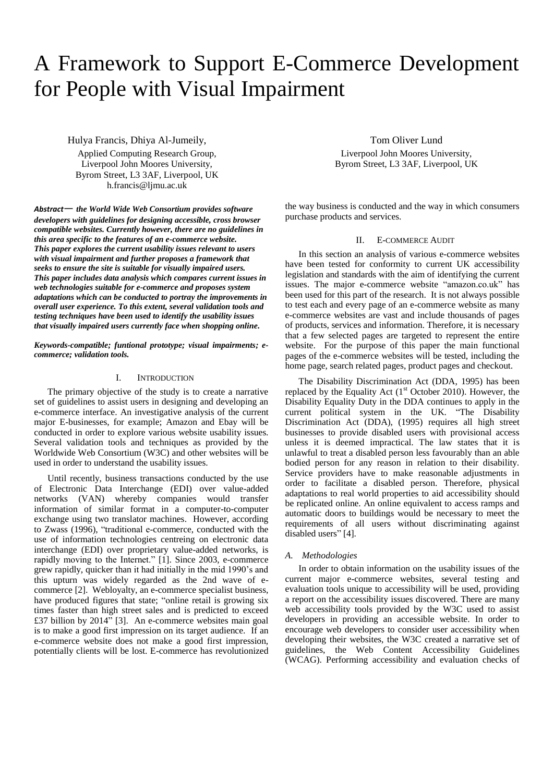# A Framework to Support E-Commerce Development for People with Visual Impairment

Hulya Francis, Dhiya Al-Jumeily,

Applied Computing Research Group, Liverpool John Moores University, Byrom Street, L3 3AF, Liverpool, UK h.francis@ljmu.ac.uk

*Abstract*— *the World Wide Web Consortium provides software developers with guidelines for designing accessible, cross browser compatible websites. Currently however, there are no guidelines in this area specific to the features of an e-commerce website. This paper explores the current usability issues relevant to users with visual impairment and further proposes a framework that seeks to ensure the site is suitable for visually impaired users. This paper includes data analysis which compares current issues in web technologies suitable for e-commerce and proposes system adaptations which can be conducted to portray the improvements in overall user experience. To this extent, several validation tools and testing techniques have been used to identify the usability issues that visually impaired users currently face when shopping online.* 

*Keywords-compatible; funtional prototype; visual impairments; ecommerce; validation tools.*

## I. INTRODUCTION

The primary objective of the study is to create a narrative set of guidelines to assist users in designing and developing an e-commerce interface. An investigative analysis of the current major E-businesses, for example; Amazon and Ebay will be conducted in order to explore various website usability issues. Several validation tools and techniques as provided by the Worldwide Web Consortium (W3C) and other websites will be used in order to understand the usability issues.

Until recently, business transactions conducted by the use of Electronic Data Interchange (EDI) over value-added networks (VAN) whereby companies would transfer information of similar format in a computer-to-computer exchange using two translator machines. However, according to Zwass (1996), "traditional e-commerce, conducted with the use of information technologies centreing on electronic data interchange (EDI) over proprietary value-added networks, is rapidly moving to the Internet." [1]. Since 2003, e-commerce grew rapidly, quicker than it had initially in the mid 1990's and this upturn was widely regarded as the 2nd wave of ecommerce [2]. Webloyalty, an e-commerce specialist business, have produced figures that state; "online retail is growing six times faster than high street sales and is predicted to exceed £37 billion by 2014" [3]. An e-commerce websites main goal is to make a good first impression on its target audience. If an e-commerce website does not make a good first impression, potentially clients will be lost. E-commerce has revolutionized

Tom Oliver Lund Liverpool John Moores University, Byrom Street, L3 3AF, Liverpool, UK

the way business is conducted and the way in which consumers purchase products and services.

# II. E-COMMERCE AUDIT

In this section an analysis of various e-commerce websites have been tested for conformity to current UK accessibility legislation and standards with the aim of identifying the current issues. The major e-commerce website "amazon.co.uk" has been used for this part of the research. It is not always possible to test each and every page of an e-commerce website as many e-commerce websites are vast and include thousands of pages of products, services and information. Therefore, it is necessary that a few selected pages are targeted to represent the entire website. For the purpose of this paper the main functional pages of the e-commerce websites will be tested, including the home page, search related pages, product pages and checkout.

The Disability Discrimination Act (DDA, 1995) has been replaced by the Equality Act  $(1<sup>st</sup> October 2010)$ . However, the Disability Equality Duty in the DDA continues to apply in the current political system in the UK. "The Disability Discrimination Act (DDA), (1995) requires all high street businesses to provide disabled users with provisional access unless it is deemed impractical. The law states that it is unlawful to treat a disabled person less favourably than an able bodied person for any reason in relation to their disability. Service providers have to make reasonable adjustments in order to facilitate a disabled person. Therefore, physical adaptations to real world properties to aid accessibility should be replicated online. An online equivalent to access ramps and automatic doors to buildings would be necessary to meet the requirements of all users without discriminating against disabled users" [4].

## *A. Methodologies*

In order to obtain information on the usability issues of the current major e-commerce websites, several testing and evaluation tools unique to accessibility will be used, providing a report on the accessibility issues discovered. There are many web accessibility tools provided by the W3C used to assist developers in providing an accessible website. In order to encourage web developers to consider user accessibility when developing their websites, the W3C created a narrative set of guidelines, the Web Content Accessibility Guidelines (WCAG). Performing accessibility and evaluation checks of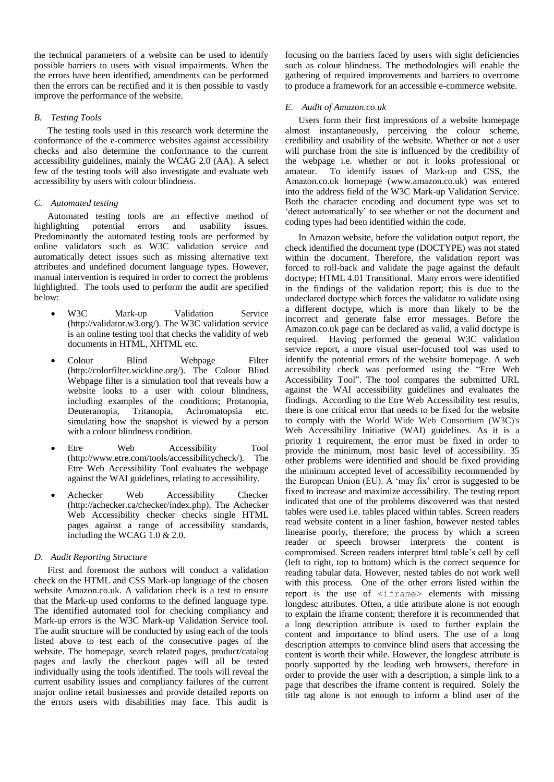the technical parameters of a website can be used to identify possible barriers to users with visual impairments. When the the errors have been identified, amendments can be performed then the errors can be rectified and it is then possible to vastly improve the performance of the website.

# *B. Testing Tools*

The testing tools used in this research work determine the conformance of the e-commerce websites against accessibility checks and also determine the conformance to the current accessibility guidelines, mainly the WCAG 2.0 (AA). A select few of the testing tools will also investigate and evaluate web accessibility by users with colour blindness.

# *C. Automated testing*

Automated testing tools are an effective method of highlighting potential errors and usability issues. Predominantly the automated testing tools are performed by online validators such as W3C validation service and automatically detect issues such as missing alternative text attributes and undefined document language types. However, manual intervention is required in order to correct the problems highlighted. The tools used to perform the audit are specified below:

- W3C Mark-up Validation Service [\(http://validator.w3.org/\)](http://validator.w3.org/). The W3C validation service is an online testing tool that checks the validity of web documents in HTML, XHTML etc.
- Colour Blind Webpage Filter [\(http://colorfilter.wickline.org/\)](http://colorfilter.wickline.org/). The Colour Blind Webpage filter is a simulation tool that reveals how a website looks to a user with colour blindness, including examples of the conditions; Protanopia, Deuteranopia, Tritanopia, Achromatopsia etc. simulating how the snapshot is viewed by a person with a colour blindness condition.
- Etre Web Accessibility Tool [\(http://www.etre.com/tools/accessibilitycheck/\)](http://www.etre.com/tools/accessibilitycheck/). The Etre Web Accessibility Tool evaluates the webpage against the WAI guidelines, relating to accessibility.
- Achecker Web Accessibility Checker [\(http://achecker.ca/checker/index.php\)](http://achecker.ca/checker/index.php). The Achecker Web Accessibility checker checks single HTML pages against a range of accessibility standards, including the WCAG 1.0 & 2.0.

# *D. Audit Reporting Structure*

First and foremost the authors will conduct a validation check on the HTML and CSS Mark-up language of the chosen website Amazon.co.uk. A validation check is a test to ensure that the Mark-up used conforms to the defined language type. The identified automated tool for checking compliancy and Mark-up errors is the W3C Mark-up Validation Service tool. The audit structure will be conducted by using each of the tools listed above to test each of the consecutive pages of the website. The homepage, search related pages, product/catalog pages and lastly the checkout pages will all be tested individually using the tools identified. The tools will reveal the current usability issues and compliancy failures of the current major online retail businesses and provide detailed reports on the errors users with disabilities may face. This audit is focusing on the barriers faced by users with sight deficiencies such as colour blindness. The methodologies will enable the gathering of required improvements and barriers to overcome to produce a framework for an accessible e-commerce website.

# *E. Audit of Amazon.co.uk*

Users form their first impressions of a website homepage almost instantaneously, perceiving the colour scheme, credibility and usability of the website. Whether or not a user will purchase from the site is influenced by the credibility of the webpage i.e. whether or not it looks professional or amateur. To identify issues of Mark-up and CSS, the Amazon.co.uk homepage [\(www.amazon.co.uk\)](http://www.amazon.co.uk/) was entered into the address field of the W3C Mark-up Validation Service. Both the character encoding and document type was set to 'detect automatically' to see whether or not the document and coding types had been identified within the code.

In Amazon website, before the validation output report, the check identified the document type (DOCTYPE) was not stated within the document. Therefore, the validation report was forced to roll-back and validate the page against the default doctype; HTML 4.01 Transitional. Many errors were identified in the findings of the validation report; this is due to the undeclared doctype which forces the validator to validate using a different doctype, which is more than likely to be the incorrect and generate false error messages. Before the Amazon.co.uk page can be declared as valid, a valid doctype is required.Having performed the general W3C validation service report, a more visual user-focused tool was used to identify the potential errors of the website homepage. A web accessibility check was performed using the "Etre Web Accessibility Tool". The tool compares the submitted URL against the WAI accessibility guidelines and evaluates the findings.According to the Etre Web Accessibility test results, there is one critical error that needs to be fixed for the website to comply with the World Wide Web Consortium (W3C)'s Web Accessibility Initiative (WAI) guidelines. As it is a priority 1 requirement, the error must be fixed in order to provide the minimum, most basic level of accessibility. 35 other problems were identified and should be fixed providing the minimum accepted level of accessibility recommended by the European Union (EU). A 'may fix' error is suggested to be fixed to increase and maximize accessibility.The testing report indicated that one of the problems discovered was that nested tables were used i.e. tables placed within tables. Screen readers read website content in a liner fashion, however nested tables linearise poorly, therefore; the process by which a screen reader or speech browser interprets the content is compromised. Screen readers interpret html table's cell by cell (left to right, top to bottom) which is the correct sequence for reading tabular data. However, nested tables do not work well with this process. One of the other errors listed within the report is the use of  $\leq$ iframe> elements with missing longdesc attributes. Often, a title attribute alone is not enough to explain the iframe content; therefore it is recommended that a long description attribute is used to further explain the content and importance to blind users. The use of a long description attempts to convince blind users that accessing the content is worth their while. However, the longdesc attribute is poorly supported by the leading web browsers, therefore in order to provide the user with a description, a simple link to a page that describes the iframe content is required.Solely the title tag alone is not enough to inform a blind user of the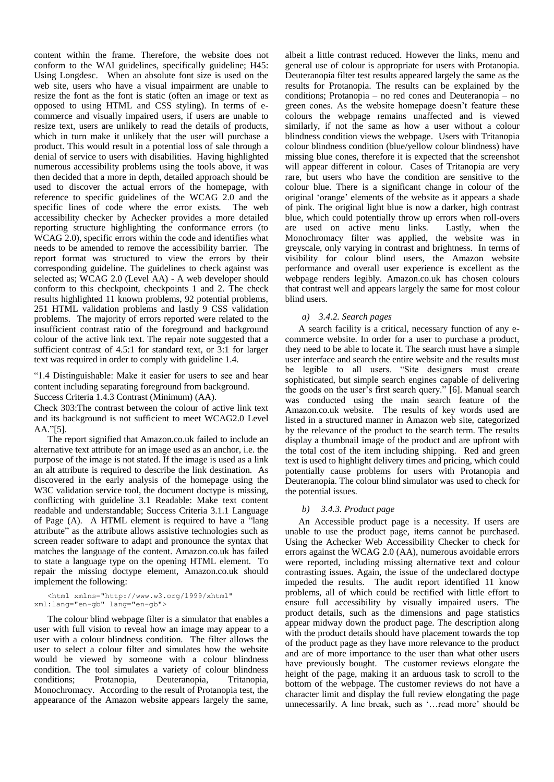content within the frame. Therefore, the website does not conform to the WAI guidelines, specifically guideline; H45: Using Longdesc. When an absolute font size is used on the web site, users who have a visual impairment are unable to resize the font as the font is static (often an image or text as opposed to using HTML and CSS styling). In terms of ecommerce and visually impaired users, if users are unable to resize text, users are unlikely to read the details of products, which in turn make it unlikely that the user will purchase a product. This would result in a potential loss of sale through a denial of service to users with disabilities.Having highlighted numerous accessibility problems using the tools above, it was then decided that a more in depth, detailed approach should be used to discover the actual errors of the homepage, with reference to specific guidelines of the WCAG 2.0 and the specific lines of code where the error exists. The web accessibility checker by Achecker provides a more detailed reporting structure highlighting the conformance errors (to WCAG 2.0), specific errors within the code and identifies what needs to be amended to remove the accessibility barrier. The report format was structured to view the errors by their corresponding guideline. The guidelines to check against was selected as; WCAG 2.0 (Level AA) - A web developer should conform to this checkpoint, checkpoints 1 and 2. The check results highlighted 11 known problems, 92 potential problems, 251 HTML validation problems and lastly 9 CSS validation problems. The majority of errors reported were related to the insufficient contrast ratio of the foreground and background colour of the active link text. The repair note suggested that a sufficient contrast of 4.5:1 for standard text, or 3:1 for larger text was required in order to comply with guideline 1.4.

"1.4 Distinguishable: Make it easier for users to see and hear content including separating foreground from background.

Success Criteria 1.4.3 Contrast (Minimum) (AA).

Check 303[:The contrast between the colour of active link text](http://achecker.ca/checker/suggestion.php?id=303)  [and its background is not sufficient to meet WCAG2.0 Level](http://achecker.ca/checker/suggestion.php?id=303)  [AA."](http://achecker.ca/checker/suggestion.php?id=303)[5].

The report signified that Amazon.co.uk failed to include an alternative text attribute for an image used as an anchor, i.e. the purpose of the image is not stated. If the image is used as a link an alt attribute is required to describe the link destination. As discovered in the early analysis of the homepage using the W3C validation service tool, the document doctype is missing, conflicting with guideline 3.1 Readable: Make text content readable and understandable; Success Criteria 3.1.1 Language of Page (A). A HTML element is required to have a "lang attribute" as the attribute allows assistive technologies such as screen reader software to adapt and pronounce the syntax that matches the language of the content. Amazon.co.uk has failed to state a language type on the opening HTML element. To repair the missing doctype element, Amazon.co.uk should implement the following:

<html xmlns="http://www.w3.org/1999/xhtml" xml:lang="en-gb" lang="en-gb">

The colour blind webpage filter is a simulator that enables a user with full vision to reveal how an image may appear to a user with a colour blindness condition. The filter allows the user to select a colour filter and simulates how the website would be viewed by someone with a colour blindness condition. The tool simulates a variety of colour blindness conditions; Protanopia, Deuteranopia, Tritanopia, Monochromacy. According to the result of Protanopia test, the appearance of the Amazon website appears largely the same,

albeit a little contrast reduced. However the links, menu and general use of colour is appropriate for users with Protanopia. Deuteranopia filter test results appeared largely the same as the results for Protanopia. The results can be explained by the conditions; Protanopia – no red cones and Deuteranopia – no green cones. As the website homepage doesn't feature these colours the webpage remains unaffected and is viewed similarly, if not the same as how a user without a colour blindness condition views the webpage. Users with Tritanopia colour blindness condition (blue/yellow colour blindness) have missing blue cones, therefore it is expected that the screenshot will appear different in colour. Cases of Tritanopia are very rare, but users who have the condition are sensitive to the colour blue. There is a significant change in colour of the original 'orange' elements of the website as it appears a shade of pink. The original light blue is now a darker, high contrast blue, which could potentially throw up errors when roll-overs are used on active menu links. Lastly, when the Monochromacy filter was applied, the website was in greyscale, only varying in contrast and brightness. In terms of visibility for colour blind users, the Amazon website performance and overall user experience is excellent as the webpage renders legibly. Amazon.co.uk has chosen colours that contrast well and appears largely the same for most colour blind users.

# *a) 3.4.2. Search pages*

A search facility is a critical, necessary function of any ecommerce website. In order for a user to purchase a product, they need to be able to locate it. The search must have a simple user interface and search the entire website and the results must be legible to all users. "Site designers must create sophisticated, but simple search engines capable of delivering the goods on the user's first search query." [6]. Manual search was conducted using the main search feature of the Amazon.co.uk website. The results of key words used are listed in a structured manner in Amazon web site, categorized by the relevance of the product to the search term. The results display a thumbnail image of the product and are upfront with the total cost of the item including shipping. Red and green text is used to highlight delivery times and pricing, which could potentially cause problems for users with Protanopia and Deuteranopia. The colour blind simulator was used to check for the potential issues.

# *b) 3.4.3. Product page*

An Accessible product page is a necessity. If users are unable to use the product page, items cannot be purchased. Using the Achecker Web Accessibility Checker to check for errors against the WCAG 2.0 (AA), numerous avoidable errors were reported, including missing alternative text and colour contrasting issues. Again, the issue of the undeclared doctype impeded the results. The audit report identified 11 know problems, all of which could be rectified with little effort to ensure full accessibility by visually impaired users. The product details, such as the dimensions and page statistics appear midway down the product page. The description along with the product details should have placement towards the top of the product page as they have more relevance to the product and are of more importance to the user than what other users have previously bought. The customer reviews elongate the height of the page, making it an arduous task to scroll to the bottom of the webpage. The customer reviews do not have a character limit and display the full review elongating the page unnecessarily. A line break, such as '…read more' should be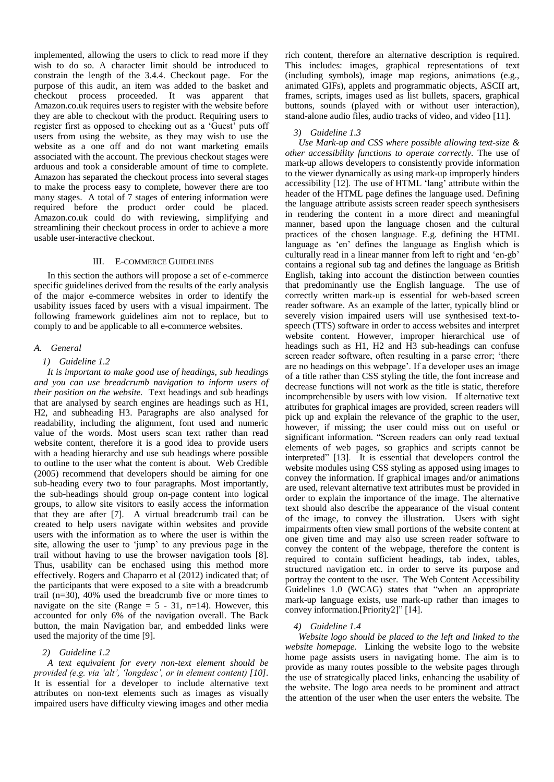implemented, allowing the users to click to read more if they wish to do so. A character limit should be introduced to constrain the length of the 3.4.4. Checkout page. For the purpose of this audit, an item was added to the basket and checkout process proceeded. It was apparent that Amazon.co.uk requires users to register with the website before they are able to checkout with the product. Requiring users to register first as opposed to checking out as a 'Guest' puts off users from using the website, as they may wish to use the website as a one off and do not want marketing emails associated with the account. The previous checkout stages were arduous and took a considerable amount of time to complete. Amazon has separated the checkout process into several stages to make the process easy to complete, however there are too many stages. A total of 7 stages of entering information were required before the product order could be placed. Amazon.co.uk could do with reviewing, simplifying and streamlining their checkout process in order to achieve a more usable user-interactive checkout.

# III. E-COMMERCE GUIDELINES

In this section the authors will propose a set of e-commerce specific guidelines derived from the results of the early analysis of the major e-commerce websites in order to identify the usability issues faced by users with a visual impairment. The following framework guidelines aim not to replace, but to comply to and be applicable to all e-commerce websites.

#### *A. General*

#### *1) Guideline 1.2*

*It is important to make good use of headings, sub headings and you can use breadcrumb navigation to inform users of their position on the website.* Text headings and sub headings that are analysed by search engines are headings such as H1, H2, and subheading H3. Paragraphs are also analysed for readability, including the alignment, font used and numeric value of the words. Most users scan text rather than read website content, therefore it is a good idea to provide users with a heading hierarchy and use sub headings where possible to outline to the user what the content is about. Web Credible (2005) recommend that developers should be aiming for one sub-heading every two to four paragraphs. Most importantly, the sub-headings should group on-page content into logical groups, to allow site visitors to easily access the information that they are after [7]. A virtual breadcrumb trail can be created to help users navigate within websites and provide users with the information as to where the user is within the site, allowing the user to 'jump' to any previous page in the trail without having to use the browser navigation tools [8]. Thus, usability can be enchased using this method more effectively. Rogers and Chaparro et al (2012) indicated that; of the participants that were exposed to a site with a breadcrumb trail (n=30), 40% used the breadcrumb five or more times to navigate on the site (Range  $= 5 - 31$ , n=14). However, this accounted for only 6% of the navigation overall. The Back button, the main Navigation bar, and embedded links were used the majority of the time [9].

## *2) Guideline 1.2*

*A text equivalent for every non-text element should be provided (e.g. via 'alt', 'longdesc', or in element content) [10].* It is essential for a developer to include alternative text attributes on non-text elements such as images as visually impaired users have difficulty viewing images and other media

rich content, therefore an alternative description is required. This includes: images, graphical representations of text (including symbols), image map regions, animations (e.g., animated GIFs), applets and programmatic objects, ASCII art, frames, scripts, images used as list bullets, spacers, graphical buttons, sounds (played with or without user interaction), stand-alone audio files, audio tracks of video, and video [11].

# *3) Guideline 1.3*

*Use Mark-up and CSS where possible allowing text-size & other accessibility functions to operate correctly.* The use of mark-up allows developers to consistently provide information to the viewer dynamically as using mark-up improperly hinders accessibility [12]. The use of HTML 'lang' attribute within the header of the HTML page defines the language used. Defining the language attribute assists screen reader speech synthesisers in rendering the content in a more direct and meaningful manner, based upon the language chosen and the cultural practices of the chosen language. E.g. defining the HTML language as 'en' defines the language as English which is culturally read in a linear manner from left to right and 'en-gb' contains a regional sub tag and defines the language as British English, taking into account the distinction between counties that predominantly use the English language. The use of correctly written mark-up is essential for web-based screen reader software. As an example of the latter, typically blind or severely vision impaired users will use synthesised text-tospeech (TTS) software in order to access websites and interpret website content. However, improper hierarchical use of headings such as H1, H2 and H3 sub-headings can confuse screen reader software, often resulting in a parse error; 'there are no headings on this webpage'. If a developer uses an image of a title rather than CSS styling the title, the font increase and decrease functions will not work as the title is static, therefore incomprehensible by users with low vision. If alternative text attributes for graphical images are provided, screen readers will pick up and explain the relevance of the graphic to the user, however, if missing; the user could miss out on useful or significant information. "Screen readers can only read textual elements of web pages, so graphics and scripts cannot be interpreted" [13]. It is essential that developers control the website modules using CSS styling as apposed using images to convey the information. If graphical images and/or animations are used, relevant alternative text attributes must be provided in order to explain the importance of the image. The alternative text should also describe the appearance of the visual content of the image, to convey the illustration. Users with sight impairments often view small portions of the website content at one given time and may also use screen reader software to convey the content of the webpage, therefore the content is required to contain sufficient headings, tab index, tables, structured navigation etc. in order to serve its purpose and portray the content to the user. The Web Content Accessibility Guidelines 1.0 (WCAG) states that "when an appropriate mark-up language exists, use mark-up rather than images to convey information.[Priority2]" [14].

# *4) Guideline 1.4*

*Website logo should be placed to the left and linked to the website homepage.* Linking the website logo to the website home page assists users in navigating home. The aim is to provide as many routes possible to the website pages through the use of strategically placed links, enhancing the usability of the website. The logo area needs to be prominent and attract the attention of the user when the user enters the website. The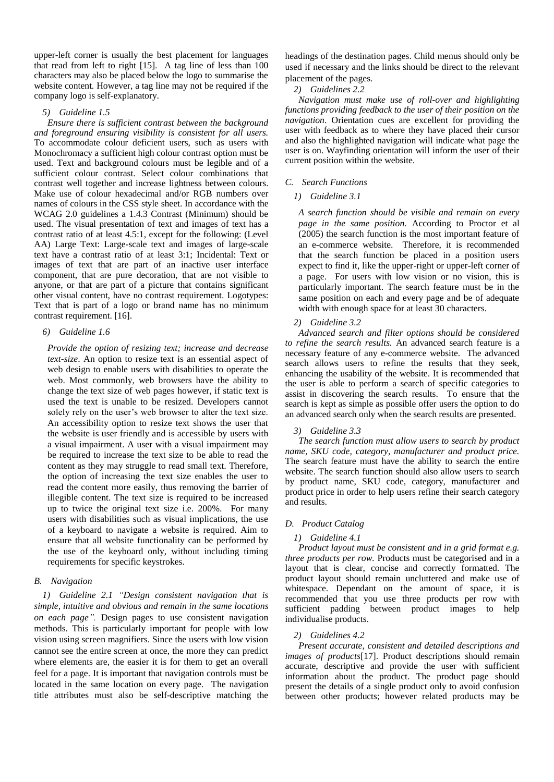upper-left corner is usually the best placement for languages that read from left to right [15]. A tag line of less than 100 characters may also be placed below the logo to summarise the website content. However, a tag line may not be required if the company logo is self-explanatory.

## *5) Guideline 1.5*

*Ensure there is sufficient contrast between the background and foreground ensuring visibility is consistent for all users.*  To accommodate colour deficient users, such as users with Monochromacy a sufficient high colour contrast option must be used. Text and background colours must be legible and of a sufficient colour contrast. Select colour combinations that contrast well together and increase lightness between colours. Make use of colour hexadecimal and/or RGB numbers over names of colours in the CSS style sheet. In accordance with the WCAG 2.0 guidelines a 1.4.3 Contrast (Minimum) should be used. The visual presentation of [text](http://www.w3.org/TR/WCAG/#textdef) and [images of text](http://www.w3.org/TR/WCAG/#images-of-textdef) has a [contrast ratio](http://www.w3.org/TR/WCAG/#contrast-ratiodef) of at least 4.5:1, except for the following: (Level AA) Large Text: Large-scale text and images of large-scale text have a contrast ratio of at least 3:1; Incidental: Text or images of text that are part of an inactive [user interface](http://www.w3.org/TR/WCAG/#user-interface-componentdef)  [component,](http://www.w3.org/TR/WCAG/#user-interface-componentdef) that are [pure decoration,](http://www.w3.org/TR/WCAG/#puredecdef) that are not visible to anyone, or that are part of a picture that contains significant other visual content, have no contrast requirement. Logotypes: Text that is part of a logo or brand name has no minimum contrast requirement. [16].

# *6) Guideline 1.6*

*Provide the option of resizing text; increase and decrease text-size*. An option to resize text is an essential aspect of web design to enable users with disabilities to operate the web. Most commonly, web browsers have the ability to change the text size of web pages however, if static text is used the text is unable to be resized. Developers cannot solely rely on the user's web browser to alter the text size. An accessibility option to resize text shows the user that the website is user friendly and is accessible by users with a visual impairment. A user with a visual impairment may be required to increase the text size to be able to read the content as they may struggle to read small text. Therefore, the option of increasing the text size enables the user to read the content more easily, thus removing the barrier of illegible content. The text size is required to be increased up to twice the original text size i.e. 200%. For many users with disabilities such as visual implications, the use of a keyboard to navigate a website is required. Aim to ensure that all website functionality can be performed by the use of the keyboard only, without including timing requirements for specific keystrokes*.* 

## *B. Navigation*

*1) Guideline 2.1 "Design consistent navigation that is simple, intuitive and obvious and remain in the same locations on each page".* Design pages to use consistent navigation methods. This is particularly important for people with low vision using screen magnifiers. Since the users with low vision cannot see the entire screen at once, the more they can predict where elements are, the easier it is for them to get an overall feel for a page. It is important that navigation controls must be located in the same location on every page. The navigation title attributes must also be self-descriptive matching the

headings of the destination pages. Child menus should only be used if necessary and the links should be direct to the relevant placement of the pages.

# *2) Guidelines 2.2*

*Navigation must make use of roll-over and highlighting functions providing feedback to the user of their position on the navigation*. Orientation cues are excellent for providing the user with feedback as to where they have placed their cursor and also the highlighted navigation will indicate what page the user is on. Wayfinding orientation will inform the user of their current position within the website.

## *C. Search Functions*

## *1) Guideline 3.1*

*A search function should be visible and remain on every page in the same position.* According to Proctor et al (2005) the search function is the most important feature of an e-commerce website. Therefore, it is recommended that the search function be placed in a position users expect to find it, like the upper-right or upper-left corner of a page. For users with low vision or no vision, this is particularly important. The search feature must be in the same position on each and every page and be of adequate width with enough space for at least 30 characters.

#### *2) Guideline 3.2*

*Advanced search and filter options should be considered to refine the search results.* An advanced search feature is a necessary feature of any e-commerce website. The advanced search allows users to refine the results that they seek, enhancing the usability of the website. It is recommended that the user is able to perform a search of specific categories to assist in discovering the search results. To ensure that the search is kept as simple as possible offer users the option to do an advanced search only when the search results are presented.

#### *3) Guideline 3.3*

*The search function must allow users to search by product name, SKU code, category, manufacturer and product price.* The search feature must have the ability to search the entire website. The search function should also allow users to search by product name, SKU code, category, manufacturer and product price in order to help users refine their search category and results.

#### *D. Product Catalog*

#### *1) Guideline 4.1*

*Product layout must be consistent and in a grid format e.g. three products per row.* Products must be categorised and in a layout that is clear, concise and correctly formatted. The product layout should remain uncluttered and make use of whitespace. Dependant on the amount of space, it is recommended that you use three products per row with sufficient padding between product images to help individualise products.

### *2) Guidelines 4.2*

*Present accurate, consistent and detailed descriptions and images of products*[17]. Product descriptions should remain accurate, descriptive and provide the user with sufficient information about the product. The product page should present the details of a single product only to avoid confusion between other products; however related products may be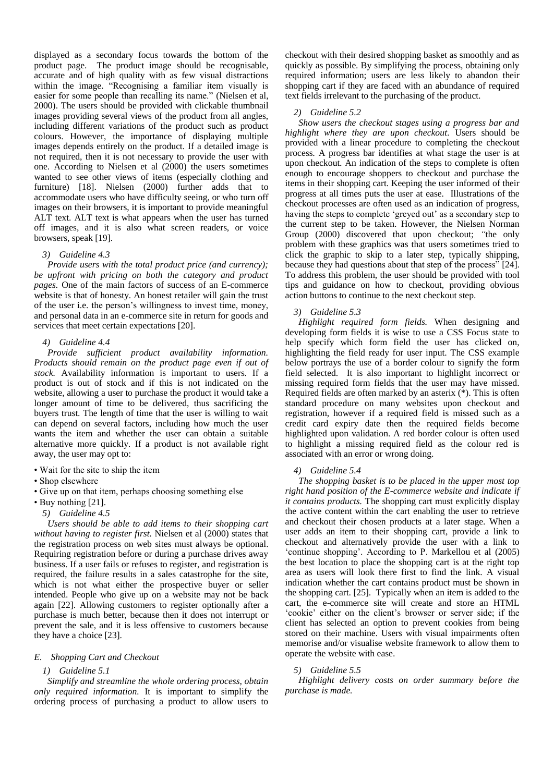displayed as a secondary focus towards the bottom of the product page. The product image should be recognisable, accurate and of high quality with as few visual distractions within the image. "Recognising a familiar item visually is easier for some people than recalling its name." (Nielsen et al, 2000). The users should be provided with clickable thumbnail images providing several views of the product from all angles, including different variations of the product such as product colours. However, the importance of displaying multiple images depends entirely on the product. If a detailed image is not required, then it is not necessary to provide the user with one. According to Nielsen et al (2000) the users sometimes wanted to see other views of items (especially clothing and furniture) [18]. Nielsen (2000) further adds that to accommodate users who have difficulty seeing, or who turn off images on their browsers, it is important to provide meaningful ALT text. ALT text is what appears when the user has turned off images, and it is also what screen readers, or voice browsers, speak [19].

#### *3) Guideline 4.3*

*Provide users with the total product price (and currency); be upfront with pricing on both the category and product pages.* One of the main factors of success of an E-commerce website is that of honesty. An honest retailer will gain the trust of the user i.e. the person's willingness to invest time, money, and personal data in an e-commerce site in return for goods and services that meet certain expectations [20].

# *4) Guideline 4.4*

*Provide sufficient product availability information. Products should remain on the product page even if out of stock.* Availability information is important to users. If a product is out of stock and if this is not indicated on the website, allowing a user to purchase the product it would take a longer amount of time to be delivered, thus sacrificing the buyers trust. The length of time that the user is willing to wait can depend on several factors, including how much the user wants the item and whether the user can obtain a suitable alternative more quickly. If a product is not available right away, the user may opt to:

- Wait for the site to ship the item
- Shop elsewhere
- Give up on that item, perhaps choosing something else
- Buy nothing [21].
	- *5) Guideline 4.5*

*Users should be able to add items to their shopping cart without having to register first.* Nielsen et al (2000) states that the registration process on web sites must always be optional. Requiring registration before or during a purchase drives away business. If a user fails or refuses to register, and registration is required, the failure results in a sales catastrophe for the site, which is not what either the prospective buyer or seller intended. People who give up on a website may not be back again [22]. Allowing customers to register optionally after a purchase is much better, because then it does not interrupt or prevent the sale, and it is less offensive to customers because they have a choice [23].

# *E. Shopping Cart and Checkout*

#### *1) Guideline 5.1*

*Simplify and streamline the whole ordering process, obtain only required information.* It is important to simplify the ordering process of purchasing a product to allow users to

checkout with their desired shopping basket as smoothly and as quickly as possible. By simplifying the process, obtaining only required information; users are less likely to abandon their shopping cart if they are faced with an abundance of required text fields irrelevant to the purchasing of the product.

#### *2) Guideline 5.2*

*Show users the checkout stages using a progress bar and highlight where they are upon checkout.* Users should be provided with a linear procedure to completing the checkout process. A progress bar identifies at what stage the user is at upon checkout. An indication of the steps to complete is often enough to encourage shoppers to checkout and purchase the items in their shopping cart. Keeping the user informed of their progress at all times puts the user at ease. Illustrations of the checkout processes are often used as an indication of progress, having the steps to complete 'greyed out' as a secondary step to the current step to be taken. However, the Nielsen Norman Group (2000) discovered that upon checkout; *"*the only problem with these graphics was that users sometimes tried to click the graphic to skip to a later step, typically shipping, because they had questions about that step of the process" [24]. To address this problem, the user should be provided with tool tips and guidance on how to checkout, providing obvious action buttons to continue to the next checkout step.

#### *3) Guideline 5.3*

*Highlight required form fields.* When designing and developing form fields it is wise to use a CSS Focus state to help specify which form field the user has clicked on, highlighting the field ready for user input. The CSS example below portrays the use of a border colour to signify the form field selected. It is also important to highlight incorrect or missing required form fields that the user may have missed. Required fields are often marked by an asterix (\*). This is often standard procedure on many websites upon checkout and registration, however if a required field is missed such as a credit card expiry date then the required fields become highlighted upon validation. A red border colour is often used to highlight a missing required field as the colour red is associated with an error or wrong doing.

## *4) Guideline 5.4*

*The shopping basket is to be placed in the upper most top right hand position of the E-commerce website and indicate if it contains products.* The shopping cart must explicitly display the active content within the cart enabling the user to retrieve and checkout their chosen products at a later stage. When a user adds an item to their shopping cart, provide a link to checkout and alternatively provide the user with a link to 'continue shopping'. According to P. Markellou et al (2005) the best location to place the shopping cart is at the right top area as users will look there first to find the link. A visual indication whether the cart contains product must be shown in the shopping cart. [25]. Typically when an item is added to the cart, the e-commerce site will create and store an HTML 'cookie' either on the client's browser or server side; if the client has selected an option to prevent cookies from being stored on their machine. Users with visual impairments often memorise and/or visualise website framework to allow them to operate the website with ease.

## *5) Guideline 5.5*

*Highlight delivery costs on order summary before the purchase is made.*